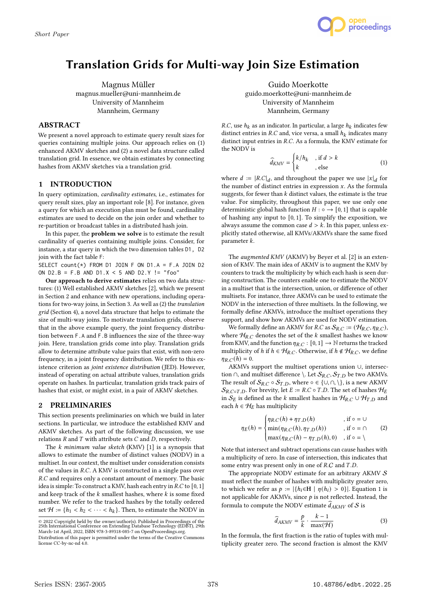

# Translation Grids for Multi-way Join Size Estimation

Magnus Müller magnus.mueller@uni-mannheim.de University of Mannheim Mannheim, Germany

## ABSTRACT

We present a novel approach to estimate query result sizes for queries containing multiple joins. Our approach relies on (1) enhanced AKMV sketches and (2) a novel data structure called translation grid. In essence, we obtain estimates by connecting hashes from AKMV sketches via a translation grid.

# 1 INTRODUCTION

In query optimization, cardinality estimates, i.e., estimates for query result sizes, play an important role [8]. For instance, given a query for which an execution plan must be found, cardinality estimates are used to decide on the join order and whether to re-partition or broadcast tables in a distributed hash join.

In this paper, the problem we solve is to estimate the result cardinality of queries containing multiple joins. Consider, for instance, a star query in which the two dimension tables D1, D2 join with the fact table F:

SELECT count(\*) FROM D1 JOIN F ON D1.A = F.A JOIN D2 ON  $D2.B = F.B AND D1.X < 5 AND D2.Y != "foo"$ 

Our approach to derive estimates relies on two data structures: (1) Well established AKMV sketches [2], which we present in Section 2 and enhance with new operations, including operations for two-way joins, in Section 3. As well as (2) the translation grid (Section 4), a novel data structure that helps to estimate the size of multi-way joins. To motivate translation grids, observe that in the above example query, the joint frequency distribution between F.A and F.B influences the size of the three-way join. Here, translation grids come into play. Translation grids allow to determine attribute value pairs that exist, with non-zero frequency, in a joint frequency distribution. We refer to this existence criterion as joint existence distribution (JED). However, instead of operating on actual attribute values, translation grids operate on hashes. In particular, translation grids track pairs of hashes that exist, or might exist, in a pair of AKMV sketches.

## 2 PRELIMINARIES

This section presents preliminaries on which we build in later sections. In particular, we introduce the established KMV and AKMV sketches. As part of the following discussion, we use relations  $R$  and  $T$  with attribute sets  $C$  and  $D$ , respectively.

The  $k$  minimum value sketch (KMV) [1] is a synopsis that allows to estimate the number of distinct values (NODV) in a multiset. In our context, the multiset under consideration consists of the values in  $R.C.$  A KMV is constructed in a single pass over R.C and requires only a constant amount of memory. The basic idea is simple: To construct a KMV, hash each entry in  $R.C$  to  $[0, 1]$ and keep track of the  $k$  smallest hashes, where  $k$  is some fixed number. We refer to the tracked hashes by the totally ordered set  $\mathcal{H} := \{h_1 < h_2 < \cdots < h_k\}$ . Then, to estimate the NODV in

Guido Moerkotte guido.moerkotte@uni-mannheim.de University of Mannheim Mannheim, Germany

*R.C*, use  $h_k$  as an indicator. In particular, a large  $h_k$  indicates few distinct entries in  $R.C$  and, vice versa, a small  $h_k$  indicates many distinct input entries in  $R.C.$  As a formula, the KMV estimate for the NODV is

$$
\widehat{d}_{KMV} = \begin{cases} k/h_k, & \text{if } d > k \\ k, & \text{else} \end{cases} \tag{1}
$$

where  $d := |R.C|_d$ , and throughout the paper we use  $|x|_d$  for the number of distinct entries in expression  $x$ . As the formula suggests, for fewer than  $k$  distinct values, the estimate is the true value. For simplicity, throughout this paper, we use only one deterministic global hash function  $H : \circ \rightarrow [0, 1]$  that is capable of hashing any input to [0, 1]. To simplify the exposition, we always assume the common case  $d > k$ . In this paper, unless explicitly stated otherwise, all KMVs/AKMVs share the same fixed parameter  $k$ .

The *augmented KMV* (AKMV) by Beyer et al. [2] is an extension of KMV. The main idea of AKMV is to augment the KMV by counters to track the multiplicity by which each hash is seen during construction. The counters enable one to estimate the NODV in a multiset that is the intersection, union, or difference of other multisets. For instance, three AKMVs can be used to estimate the NODV in the intersection of three multisets. In the following, we formally define AKMVs, introduce the multiset operations they support, and show how AKMVs are used for NODV estimation.

We formally define an AKMV for *R.C* as  $S_{R.C} := (\mathcal{H}_{R.C}, \eta_{R.C})$ , where  $\mathcal{H}_{R,C}$  denotes the set of the k smallest hashes we know from KMV, and the function  $\eta_{R,C} : [0,1] \rightarrow \mathbb{N}$  returns the tracked multiplicity of h if  $h \in H_{R,C}$ . Otherwise, if  $h \notin H_{R,C}$ , we define  $\eta_{R,C}(h) = 0.$ 

AKMVs support the multiset operations union ∪, intersection ∩, and multiset difference \. Let  $\mathcal{S}_{R.C}$ ,  $\mathcal{S}_{T.D}$  be two AKMVs. The result of  $S_{R,C} \circ S_{T,D}$ , where  $\circ \in \{\cup, \cap, \setminus\}$ , is a new AKMV  $S_{R.C \circ T.D}$ . For brevity, let  $E := R.C \circ T.D$ . The set of hashes  $H_E$ in  $S_E$  is defined as the k smallest hashes in  $H_{R,C} \cup H_{T,D}$  and each  $h \in \mathcal{H}_E$  has multiplicity

$$
\eta_E(h) = \begin{cases} \eta_{R.C}(h) + \eta_{T.D}(h) & , \text{if } \circ = \cup \\ \min(\eta_{R.C}(h), \eta_{T.D}(h)) & , \text{if } \circ = \cap \\ \max(\eta_{R.C}(h) - \eta_{T.D}(h), 0) & , \text{if } \circ = \setminus \end{cases} \tag{2}
$$

J. Note that intersect and subtract operations can cause hashes with a multiplicity of zero. In case of intersection, this indicates that some entry was present only in one of  $R.C$  and  $T.D$ .

The appropriate NODV estimate for an arbitrary AKMV  $S$ must reflect the number of hashes with multiplicity greater zero, to which we refer as  $p := |\{h_i \in \mathbb{H} \mid \eta(h_i) > 0\}|$ . Equation 1 is not applicable for AKMVs, since  $p$  is not reflected. Instead, the formula to compute the NODV estimate  $\widehat{d}_{AKMV}$  of S is

$$
\widehat{d}_{AKMV} = \frac{p}{k} \cdot \frac{k-1}{\max(\mathcal{H})}
$$
 (3)

In the formula, the first fraction is the ratio of tuples with multiplicity greater zero. The second fraction is almost the KMV

<sup>©</sup> 2022 Copyright held by the owner/author(s). Published in Proceedings of the 25th International Conference on Extending Database Technology (EDBT), 29th March-1st April, 2022, ISBN 978-3-89318-085-7 on OpenProceedings.org.

Distribution of this paper is permitted under the terms of the Creative Commons license CC-by-nc-nd 4.0.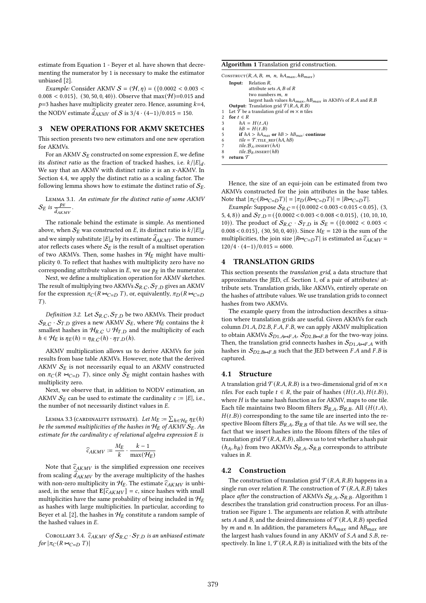estimate from Equation 1 - Beyer et al. have shown that decrementing the numerator by 1 is necessary to make the estimator unbiased [2].

*Example:* Consider AKMV  $S = (\mathcal{H}, \eta) = (\{0.0002 < 0.003 <$  $0.008 < 0.015$ ,  $(30, 50, 0, 40)$ . Observe that max $(\mathcal{H})$ =0.015 and  $p=3$  hashes have multiplicity greater zero. Hence, assuming  $k=4$ , the NODV estimate  $\widehat{d}_{AKMV}$  of S is 3/4 · (4-1)/0.015 = 150.

## 3 NEW OPERATIONS FOR AKMV SKETCHES

This section presents two new estimators and one new operation for AKMVs.

For an AKMV  $S_F$  constructed on some expression  $E$ , we define its *distinct ratio* as the fraction of tracked hashes, i.e.  $k/|E|_d$ . We say that an AKMV with distinct ratio  $x$  is an  $x$ -AKMV. In Section 4.4, we apply the distinct ratio as a scaling factor. The following lemma shows how to estimate the distinct ratio of  $S_E$ .

Lemma 3.1. An estimate for the distinct ratio of some AKMV  $\mathcal{S}_E$  is  $\frac{p_E}{\hat{d}_{AKMV}}$ .

The rationale behind the estimate is simple. As mentioned above, when  $S_E$  was constructed on E, its distinct ratio is  $k/|E|_d$ and we simply substitute  $|E|_d$  by its estimate  $\ddot{d}_{AKMV}$ . The numerator reflects cases where  $\mathcal{S}_E$  is the result of a multiset operation of two AKMVs. Then, some hashes in  $H_E$  might have multiplicity 0. To reflect that hashes with multiplicity zero have no corresponding attribute values in  $E$ , we use  $p_E$  in the numerator.

Next, we define a multiplication operation for AKMV sketches. The result of multiplying two AKMVs  $S_{R,C}$ ,  $S_{T,D}$  gives an AKMV for the expression  $\pi_C (R \Join_{C=D} T)$ , or, equivalently,  $\pi_D (R \Join_{C=D} T)$ ).

*Definition 3.2.* Let  $S_{R.C}$ ,  $S_{T.D}$  be two AKMVs. Their product  $S_{R,C} \cdot S_{T,D}$  gives a new AKMV  $S_E$ , where  $\mathcal{H}_E$  contains the k smallest hashes in  $H_{R,C} \cup H_{T,D}$  and the multiplicity of each  $h \in H_E$  is  $\eta_E(h) = \eta_{R,C}(h) \cdot \eta_{T,D}(h)$ .

AKMV multiplication allows us to derive AKMVs for join results from base table AKMVs. However, note that the derived AKMV  $S_E$  is not necessarily equal to an AKMV constructed on  $\pi_C(R \Join_{C=D} T)$ , since only  $S_E$  might contain hashes with multiplicity zero.

Next, we observe that, in addition to NODV estimation, an AKMV  $S_F$  can be used to estimate the cardinality  $c := |E|$ , i.e., the number of not necessarily distinct values in  $E$ .

Lemma 3.3 (cardinality estimate). Let  $M_E := \sum_{h \in \mathcal{H}_E} \eta_E(h)$ be the summed multiplicities of the hashes in  $H_E$  of AKMV  $S_E$ . An estimate for the cardinality  $c$  of relational algebra expression  $E$  is

$$
\widehat{c}_{AKMV} := \frac{M_E}{k} \cdot \frac{k-1}{\max(\mathcal{H}_E)}
$$

Note that  $\widehat{c}_{AKMV}$  is the simplified expression one receives from scaling  $d_{AKMV}$  by the average multiplicity of the hashes with non-zero multiplicity in  $H_E$ . The estimate  $\widehat{c}_{AKMV}$  is unbiased, in the sense that  $\mathbb{E}[\widehat{c}_{AKMV}] = c,$  since hashes with small multiplicities have the same probability of being included in  $\mathcal{H}_E$ as hashes with large multiplicities. In particular, according to Beyer et al. [2], the hashes in  $H_E$  constitute a random sample of the hashed values in  $E$ .

COROLLARY 3.4.  $\widehat{c}_{AKMV}$  of  $\mathcal{S}_{R,C} \cdot \mathcal{S}_{T,D}$  is an unbiased estimate  $for \vert \pi_{C}(R \bowtie_{C=D} T) \vert$ 

Algorithm 1 Translation grid construction.

```
CONSTRUCT(R, A, B, m, n, hA_{max}, hB_{max})
   Input: Relation R,
              attribute sets A, B of Rtwo numbers m, nlargest hash values hA_{max}, hB_{max} in AKMVs of R.A and R.BOutput: Translation grid T(R.A, R.B)Let \overline{\mathcal{T}} be a translation grid of m \times n tiles
2 for t \in R<br>3 hA =
        hA = H(t.A)4 hB = H(t.B)<br>5 if hA > hA_{max}if hA > hA_{max} or hB > hB_{max}: continue
6 tile = \mathcal{T}.\text{THE\_REF}(hA, hB)tile.\mathcal{B}_A.INSERT(hA)8 tile. B_B. INSERT(hB)
9 return T
```
Hence, the size of an equi-join can be estimated from two AKMVs constructed for the join attributes in the base tables. Note that  $|\pi_C(R \Join_{C=D} T)| = |\pi_D(R \Join_{C=D} T)| = |R \Join_{C=D} T|.$ 

Example: Suppose  $S_{R,C} = (\{0.0002 < 0.003 < 0.015 < 0.05\},\ (3,$ 5, 4, 8)) and  $S_{T,D} = (\{0.0002 < 0.003 < 0.008 < 0.015\}, (10, 10, 10,$ 10)). The product of  $S_{R,C} \cdot S_{T,D}$  is  $S_E = (\{0.0002 < 0.003 <$  $0.008 < 0.015$ ,  $(30, 50, 0, 40)$ . Since  $M_E = 120$  is the sum of the multiplicities, the join size  $|R \Join_{C=D} T|$  is estimated as  $\widehat{c}_{AKMV}$  =  $120/4 \cdot (4-1)/0.015 = 6000.$ 

## 4 TRANSLATION GRIDS

This section presents the translation grid, a data structure that approximates the JED, cf. Section 1, of a pair of attributes/ attribute sets. Translation grids, like AKMVs, entirely operate on the hashes of attribute values. We use translation grids to connect hashes from two AKMVs.

The example query from the introduction describes a situation where translation grids are useful. Given AKMVs for each column  $D1.A, D2.B, F.A, F.B$ , we can apply AKMV multiplication to obtain AKMVs  $S_{D1, A\bowtie F, A}$ ,  $S_{D2, B\bowtie F, B}$  for the two-way joins. Then, the translation grid connects hashes in  $S_{D1,A\bowtie F,A}$  with hashes in  $S_{D2,B\mapsto F,B}$  such that the JED between *F.A* and *F.B* is captured.

#### 4.1 Structure

A translation grid  $T(R,A,R,B)$  is a two-dimensional grid of  $m \times n$ tiles. For each tuple  $t \in R$ , the pair of hashes  $(H(t.A), H(t.B)),$ where  $H$  is the same hash function as for AKMV, maps to one tile. Each tile maintains two Bloom filters  $\mathcal{B}_{R,A}$ ,  $\mathcal{B}_{R,B}$ . All  $(H(t.A))$ ,  $H(t.B)$ ) corresponding to the same tile are inserted into the respective Bloom filters  $\mathcal{B}_{R,A}$ ,  $\mathcal{B}_{R,B}$  of that tile. As we will see, the fact that we insert hashes into the Bloom filters of the tiles of translation grid  $\mathcal{T}(R.A, R.B)$ , allows us to test whether a hash pair  $(h_A, h_B)$  from two AKMVs  $S_{R,A}, S_{R,B}$  corresponds to attribute values in *.* 

### 4.2 Construction

The construction of translation grid  $\mathcal{T}(R.A, R.B)$  happens in a single run over relation R. The construction of  $\mathcal{T}(R,A,R,B)$  takes place *after* the construction of AKMVs  $S_{R,A}$ ,  $S_{R,B}$ . Algorithm 1 describes the translation grid construction process. For an illustration see Figure 1. The arguments are relation  $R$ , with attribute sets A and B, and the desired dimensions of  $\mathcal{T}(R,A,R,B)$  specfied by *m* and *n*. In addition, the parameters  $hA_{max}$  and  $hB_{max}$  are the largest hash values found in any AKMV of  $S.A$  and  $S.B$ , respectively. In line 1,  $\mathcal{T}(R.A, R.B)$  is initialized with the bits of the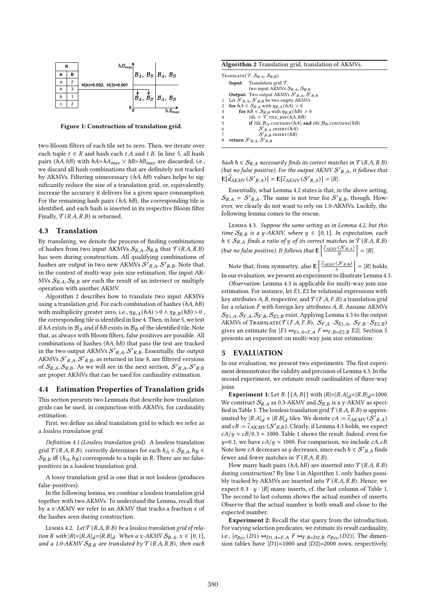

Figure 1: Construction of translation grid.

two Bloom filters of each tile set to zero. Then, we iterate over each tuple  $t \in R$  and hash each  $t.A$  and  $t.B.$  In line 5, all hash pairs ( $hA, hB$ ) with  $hA > hA_{max} \vee hB > hB_{max}$  are discarded, i.e., we discard all hash combinations that are definitely not tracked by AKMVs. Filtering unnecessary (hA, hB) values helps to significantly reduce the size of a translation grid, or, equivalently, increase the accuracy it delivers for a given space consumption. For the remaining hash pairs  $(hA, hB)$ , the corresponding tile is identified, and each hash is inserted in its respective Bloom filter. Finally,  $\mathcal{T}(R.A, R.B)$  is returned.

## 4.3 Translation

By translating, we denote the process of finding combinations of hashes from two input AKMVs  $S_{R,A}$ ,  $S_{R,B}$  that  $\mathcal{T}(R,A,R,B)$ has seen during construction. All qualifying combinations of hashes are output in two new AKMVs  $\mathcal{S'}_{R,A}$ ,  $\mathcal{S'}_{R,B}$ . Note that, in the context of multi-way join size estimation, the input AK-MVs  $S_{R,A}, S_{R,B}$  are each the result of an intersect or multiply operation with another AKMV.

Algorithm 2 describes how to translate two input AKMVs using a translation grid. For each combination of hashes  $(hA, hB)$ with multiplicity greater zero, i.e.,  $\eta_{R,A}(hA) > 0 \land \eta_{R,B}(hB) > 0$ , the corresponding tile is identified in line 4. Then, in line 5, we test if  $hA$  exists in  $B_A$  and if  $hB$  exists in  $B_B$  of the identified tile. Note that, as always with Bloom filters, false positives are possible. All combinations of hashes  $(hA, hB)$  that pass the test are tracked in the two output AKMVs  $\mathcal{S'}_{R.A}, \mathcal{S'}_{R.B}.$  Essentially, the output AKMVs  $\mathcal{S'}_{R,A}$ , $\mathcal{S'}_{R,B}$ , as returned in line 8, are filtered versions of  $\mathcal{S}_{R,A}, \mathcal{S}_{R,B}$ . As we will see in the next section,  $\mathcal{S'}_{R,A}, \mathcal{S'}_{R,B}$ are proper AKMVs that can be used for cardinality estimation.

#### 4.4 Estimation Properties of Translation grids

This section presents two Lemmata that describe how translation grids can be used, in conjunction with AKMVs, for cardinality estimation.

First, we define an ideal translation grid to which we refer as a lossless translation grid.

Definition 4.1 (Lossless translation grid). A lossless translation grid  $\mathcal{T}(R.A, R.B)$ , correctly determines for each  $h_A \in \mathcal{S}_{R.A}, h_B \in$  $S_{R,B}$  iff  $(h_A, h_B)$  corresponds to a tuple in R. There are no falsepositives in a lossless translation grid.

A lossy translation grid is one that is not lossless (produces false-positives).

In the following lemma, we combine a lossless translation grid together with two AKMVs. To understand the Lemma, recall that by a  $x$ -AKMV we refer to an AKMV that tracks a fraction  $x$  of the hashes seen during construction.

LEMMA 4.2. Let  $T(R.A, R.B)$  be a lossless translation grid of relation R with  $|R| = |R.A|_d = |R.B|_d$ . When a x-AKMV  $S_{R,A}$ ,  $x \in [0, 1]$ , and a 1.0-AKMV  $S_{R,B}$  are translated by  $\mathcal{T}(R.A, R.B)$ , then each

Algorithm 2 Translation grid, translation of AKMVs.

| TRANSLATE $(\mathcal{T}, \mathcal{S}_{R,A}, \mathcal{S}_{R,B})$                    |                |  |  |  |  |  |
|------------------------------------------------------------------------------------|----------------|--|--|--|--|--|
| <b>Input:</b> Translation grid $\mathcal{T}$ ,                                     |                |  |  |  |  |  |
| two input AKMVs $S_{R,A}$ , $S_{R,B}$                                              |                |  |  |  |  |  |
| <b>Output:</b> Two output AKMVs $S'_{R,A}$ , $S'_{R,B}$                            |                |  |  |  |  |  |
| 1 Let $S'_{R,A}, S'_{R,B}$ be two empty AKMVs                                      |                |  |  |  |  |  |
| for $hA \in S_{R,A}$ with $\eta_{R,A}(hA) > 0$                                     | $\overline{2}$ |  |  |  |  |  |
| for $hB \in S_{R,B}$ with $\eta_{R,B}(hB) > 0$                                     | 3              |  |  |  |  |  |
| $tile = \mathcal{T}$ .TILE REF $(hA, hB)$                                          | $\overline{4}$ |  |  |  |  |  |
| if tile. $\mathcal{B}_A$ . CONTAINS (hA) and tile. $\mathcal{B}_B$ . CONTAINS (hB) | 5              |  |  |  |  |  |
| $S'_{R,A}$ .INSERT $(hA)$                                                          | 6              |  |  |  |  |  |
| $S'_{R,B}$ . INSERT $(hB)$                                                         |                |  |  |  |  |  |
| return $S'_{R,A}$ , $S'_{R,B}$                                                     |                |  |  |  |  |  |

hash  $h \in S_{R,A}$  necessarily finds its correct matches in  $\mathcal{T}(R,A,R,B)$ (but no false positive). For the output  $AKMV S'_{R,A}$ , it follows that  $\mathbb{E}[\widehat{d}_{AKMV}(\mathcal{S'}_{R,A})] = \mathbb{E}[\widehat{c}_{AKMV}(\mathcal{S'}_{R,A})] = |R|.$ 

Essentially, what Lemma 4.2 states is that, in the above setting,  $S_{R,A} = S'_{R,A}$ . The same is not true for  $S'_{R,B}$ , though. However, we clearly do not want to rely on 1.0-AKMVs. Luckily, the following lemma comes to the rescue.

Lemma 4.3. Suppose the same setting as in Lemma 4.2, but this time  $S_{R,R}$  is a y-AKMV, where  $y \in [0,1]$ . In expectation, each  $h \in S_{R,A}$  finds a ratio of y of its correct matches in  $\mathcal{T}(R,A,R,B)$ (but no false positive). It follows that  $\mathbf{E}\left[\frac{\widehat{c}_{AKMV}(S'_{R,A})}{y}\right] = |R|$ .

Note that, from symmetry, also  $\mathbf{E}\left[\frac{\widehat{c}_{AKMV}(\mathcal{S}'_{R,B})}{x}\right] = |R|$  holds. In our evaluation, we present an experiment to illustrate Lemma 4.3.

Observation: Lemma 4.3 is applicable for multi-way join size estimation. For instance, let  $E1, E2$  be relational expressions with key attributes A, B, respective, and  $\mathcal{T}(F.A, F.B)$  a translation grid for a relation  $F$  with foreign key attributes  $A, B$ . Assume AKMVs  $\mathcal{S}_{E1,A}, \mathcal{S}_{F,A}, \mathcal{S}_{F,B}, \mathcal{S}_{E2,B}$  exist. Applying Lemma 4.3 to the output AKMVs of Translate( $\mathcal{T}(F.A, F.B), S_{F.A} \cdot S_{E1.A}, S_{F.B} \cdot S_{E2.B})$ gives an estimate for  $|E1 \Join_{E1.A=F.A} F \Join_{F.B=E2.B} E2|$ . Section 5 presents an experiment on multi-way join size estimation.

#### 5 EVALUATION

In our evaluation, we present two experiments. The first experiment demonstrates the validity and precision of Lemma 4.3. In the second experiment, we estimate result cardinalities of three-way joins.

**Experiment 1:** Let  $R: [\{A, B\}]$  with  $|R|=|R.A|_d=|R.B|_d=1000$ . We construct  $S_{R,A}$  as 0.3-AKMV and  $S_{R,B}$  is a y-AKMV as specified in Table 1. The lossless translation grid  $\mathcal{T}(R.A,R.B)$  is approximated by  $|R.A|_d \times |R.B|_d$  tiles. We denote  $cA := \hat{c}_{AKMV}(\bar{S'}_{R.A})$ and  $cB := \hat{c}_{AKMV}(S'_{R,B})$ . Clearly, if Lemma 4.3 holds, we expect  $cA/y \approx cB/0.3 \approx 1000$ . Table 1 shows the result. Indeed, even for  $y=0.1$ , we have  $cA/y \approx 1000$ . For comparison, we include  $cA$ ,  $cB$ . Note how cA decreases as y decreases, since each  $h \in \mathcal{S'}_{R,A}$  finds fewer and fewer matches in  $\mathcal{T}(R.A, R.B)$ .

How many hash pairs  $(hA, hB)$  are inserted into  $\mathcal{T}(R.A, R.B)$ during construction? By line 5 in Algorithm 1, only hashes possibly tracked by AKMVs are inserted into  $\mathcal{T}(R.A, R.B)$ . Hence, we expect  $0.3 \cdot y \cdot |R|$  many inserts, cf. the last column of Table 1. The second to last column shows the actual number of inserts. Observe that the actual number is both small and close to the expected number.

Experiment 2: Recall the star query from the introduction. For varying selection predicates, we estimate its result cardinality, i.e.,  $|\sigma_{p_{D1}}(D1) \bowtie_{D1,A=F,A} F \bowtie_{F.B=D2.B} \sigma_{p_{D2}}(D2)|$ . The dimension tables have  $|D1|=1000$  and  $|D2|=2000$  rows, respectively,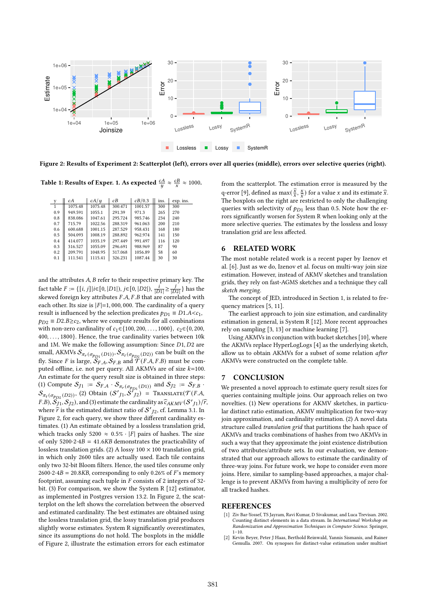

Figure 2: Results of Experiment 2: Scatterplot (left), errors over all queries (middle), errors over selective queries (right).

Table 1: Results of Exper. 1. As expected  $\frac{cA}{y} \approx \frac{cB}{x} \approx 1000$ .

| y   | cА      | cA/u    | cВ      | cB/0.3  | ins. | exp. ins. |
|-----|---------|---------|---------|---------|------|-----------|
|     | 1075.48 | 1075.48 | 300.471 | 1001.57 | 300  | 300       |
| 0.9 | 949.591 | 1055.1  | 291.39  | 971.3   | 265  | 270       |
| 0.8 | 838.086 | 1047.61 | 295.724 | 985.746 | 234  | 240       |
| 0.7 | 715.79  | 1022.56 | 288.319 | 961.063 | 200  | 210       |
| 0.6 | 600.688 | 1001.15 | 287.529 | 958.431 | 168  | 180       |
| 0.5 | 504.093 | 1008.19 | 288.892 | 962.974 | 141  | 150       |
| 0.4 | 414.077 | 1035.19 | 297.449 | 991.497 | 116  | 120       |
| 0.3 | 316.527 | 1055.09 | 296.691 | 988.969 | 87   | 90        |
| 0.2 | 209.791 | 1048.95 | 317.068 | 1056.89 | 58   | 60        |
| 0.1 | 111.541 | 1115.41 | 326.231 | 1087.44 | 30   | 30        |

and the attributes  $A$ ,  $B$  refer to their respective primary key. The fact table  $F := \{ [i, j] | i \in [0, |D1|), j \in [0, |D2|), \frac{i}{|D1|} \ge \frac{j}{|D2|} \}$  has the skewed foreign key attributes  $F.A, F.B$  that are correlated with each other. Its size is  $|F|=1,000,000$ . The cardinality of a query result is influenced by the selection predicates  $p_{D1} \equiv D1.A < c_1$ ,  $p_{D2} \equiv D2.B \geq c_2$ , where we compute results for all combinations with non-zero cardinality of  $c_1 \in \{100, 200, ..., 1000\}$ ,  $c_2 \in \{0, 200,$ 400, . . . , 1800}. Hence, the true cardinality varies between 10k and 1M. We make the following assumption: Since  $D1$ ,  $D2$  are small, AKMVs  $\mathcal{S}_{\pi_r(\sigma_{p_{D1}}(D1))}, \mathcal{S}_{\pi_t(\sigma_{p_{D2}}(D2))}$  can be built on the fly. Since F is large,  $\mathcal{S}_{F,A}, \mathcal{S}_{F,B}$  and  $\mathcal{T}(F.A, F.B)$  must be computed offline, i.e. not per query. All AKMVs are of size  $k=100$ . An estimate for the query result size is obtained in three steps: (1) Compute  $S_{J1}$  :=  $S_{F.A} \cdot S_{\pi_r(\sigma_{p_{D1}}(D1))}$  and  $S_{J2}$  :=  $S_{F.B}$ .  $\mathcal{S}_{\pi_t(\sigma_{p_{D2}}(D2))}$ , (2) Obtain  $(\mathcal{S'}_{J1}, \mathcal{S'}_{J2})$  = Translate( $\mathcal{T}(F.A, \mathcal{S})$ F.B),  $S_{I1}^{(1)}, S_{J2}^{(2)}$ , and (3) estimate the cardinality as  $\hat{c}_{AKMV}(S'_{J1})/\hat{r}$ , where  $\hat{\tau}$  is the estimated distinct ratio of  $S'_{12}$ , cf. Lemma 3.1. In Figure 2, for each query, we show three different cardinality estimates. (1) An estimate obtained by a lossless translation grid, which tracks only 5200  $\approx$  0.5% · |F| pairs of hashes. The size of only  $5200.2.4B = 41.6KB$  demonstrates the practicability of lossless translation grids. (2) A lossy  $100 \times 100$  translation grid, in which only 2600 tiles are actually used. Each tile contains only two 32-bit Bloom filters. Hence, the used tiles consume only  $2600·2·4B = 20.8KB$ , corresponding to only 0.26% of F's memory footprint, assuming each tuple in  $F$  consists of 2 integers of 32bit. (3) For comparison, we show the System R [12] estimator, as implemented in Postgres version 13.2. In Figure 2, the scatterplot on the left shows the correlation between the observed and estimated cardinality. The best estimates are obtained using the lossless translation grid, the lossy translation grid produces slightly worse estimates. System R significantly overestimates, since its assumptions do not hold. The boxplots in the middle of Figure 2, illustrate the estimation errors for each estimator

from the scatterplot. The estimation error is measured by the q-error [9], defined as  $\max(\frac{\hat{x}}{x}, \frac{x}{\hat{x}})$  for a value *x* and its estimate  $\hat{x}$ . The boxplots on the right are restricted to only the challenging queries with selectivity of  $p_{D1}$  less than 0.5. Note how the errors significantly worsen for System R when looking only at the more selective queries. The estimates by the lossless and lossy translation grid are less affected.

## 6 RELATED WORK

The most notable related work is a recent paper by Izenov et al. [6]. Just as we do, Izenov et al. focus on multi-way join size estimation. However, instead of AKMV sketches and translation grids, they rely on fast-AGMS sketches and a technique they call sketch merging.

The concept of JED, introduced in Section 1, is related to frequency matrices [5, 11].

The earliest approach to join size estimation, and cardinality estimation in general, is System R [12]. More recent approaches rely on sampling [3, 13] or machine learning [7].

Using AKMVs in conjunction with bucket sketches [10], where the AKMVs replace HyperLogLogs [4] as the underlying sketch, allow us to obtain AKMVs for a subset of some relation after AKMVs were constructed on the complete table.

#### 7 CONCLUSION

We presented a novel approach to estimate query result sizes for queries containing multiple joins. Our approach relies on two novelties. (1) New operations for AKMV sketches, in particular distinct ratio estimation, AKMV multiplication for two-way join approximation, and cardinality estimation. (2) A novel data structure called translation grid that partitions the hash space of AKMVs and tracks combinations of hashes from two AKMVs in such a way that they approximate the joint existence distribution of two attributes/attribute sets. In our evaluation, we demonstrated that our approach allows to estimate the cardinality of three-way joins. For future work, we hope to consider even more joins. Here, similar to sampling-based approaches, a major challenge is to prevent AKMVs from having a multiplicity of zero for all tracked hashes.

#### **REFERENCES**

- [1] Ziv Bar-Yossef, TS Jayram, Ravi Kumar, D Sivakumar, and Luca Trevisan. 2002. Counting distinct elements in a data stream. In International Workshop on Randomization and Approximation Techniques in Computer Science. Springer,  $1 - 10$ .
- [2] Kevin Beyer, Peter J Haas, Berthold Reinwald, Yannis Sismanis, and Rainer Gemulla. 2007. On synopses for distinct-value estimation under multiset